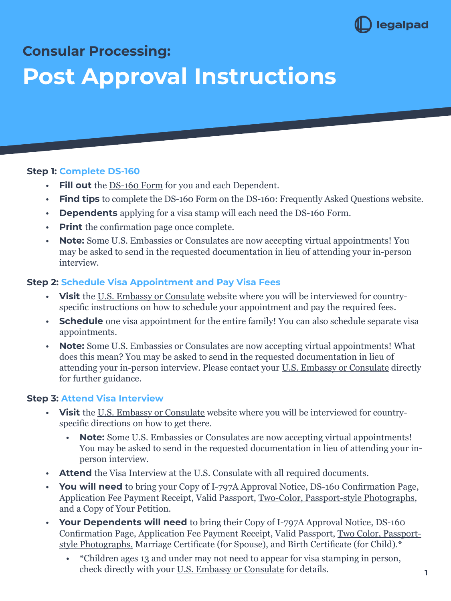

# **Consular Processing:**

# **Post Approval Instructions**

#### **Step 1: Complete DS-160**

- **Fill out** the <u>DS-160 Form</u> for you and each Dependent.
- **• Find tips** to complete the [DS-160 Form on the DS-160: Frequently Asked Questions](https://travel.state.gov/content/travel/en/us-visas/visa-information-resources/forms/ds-160-online-nonimmigrant-visa-application/ds-160-faqs.html) website.
- **• Dependents** applying for a visa stamp will each need the DS-160 Form.
- **• Print** the confirmation page once complete.
- **Note:** Some U.S. Embassies or Consulates are now accepting virtual appointments! You may be asked to send in the requested documentation in lieu of attending your in-person interview.

## **Step 2: Schedule Visa Appointment and Pay Visa Fees**

- **• Visit** the [U.S. Embassy or Consulate](https://www.usembassy.gov/) website where you will be interviewed for countryspecific instructions on how to schedule your appointment and pay the required fees.
- **• Schedule** one visa appointment for the entire family! You can also schedule separate visa appointments.
- **• Note:** Some U.S. Embassies or Consulates are now accepting virtual appointments! What does this mean? You may be asked to send in the requested documentation in lieu of attending your in-person interview. Please contact your [U.S. Embassy or Consulate](https://www.usembassy.gov/) directly for further guidance.

#### **Step 3: Attend Visa Interview**

- **• Visit** the [U.S. Embassy or Consulate](https://www.usembassy.gov/) website where you will be interviewed for countryspecific directions on how to get there.
	- **Note:** Some U.S. Embassies or Consulates are now accepting virtual appointments! You may be asked to send in the requested documentation in lieu of attending your inperson interview.
- **• Attend** the Visa Interview at the U.S. Consulate with all required documents.
- **• You will need** to bring your Copy of I-797A Approval Notice, DS-160 Confirmation Page, Application Fee Payment Receipt, Valid Passport, [Two-Color, Passport-style Photographs,](https://travel.state.gov/content/travel/en/us-visas/visa-information-resources/photos.html) and a Copy of Your Petition.
- **• Your Dependents will need** to bring their Copy of I-797A Approval Notice, DS-160 Confirmation Page, Application Fee Payment Receipt, Valid Passport, [Two Color, Passport](https://travel.state.gov/content/travel/en/us-visas/visa-information-resources/photos.html)[style Photographs,](https://travel.state.gov/content/travel/en/us-visas/visa-information-resources/photos.html) Marriage Certificate (for Spouse), and Birth Certificate (for Child).\*
	- \*Children ages 13 and under may not need to appear for visa stamping in person, check directly with your [U.S. Embassy or Consulate](https://www.usembassy.gov/) for details.